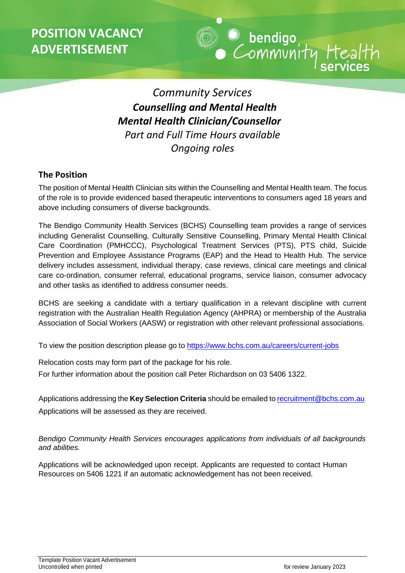## **POSITION VACANCY ADVERTISEMENT**



## *Community Services Counselling and Mental Health Mental Health Clinician/Counsellor Part and Full Time Hours available Ongoing roles*

## **The Position**

The position of Mental Health Clinician sits within the Counselling and Mental Health team. The focus of the role is to provide evidenced based therapeutic interventions to consumers aged 18 years and above including consumers of diverse backgrounds.

The Bendigo Community Health Services (BCHS) Counselling team provides a range of services including Generalist Counselling, Culturally Sensitive Counselling, Primary Mental Health Clinical Care Coordination (PMHCCC), Psychological Treatment Services (PTS), PTS child, Suicide Prevention and Employee Assistance Programs (EAP) and the Head to Health Hub. The service delivery includes assessment, individual therapy, case reviews, clinical care meetings and clinical care co-ordination, consumer referral, educational programs, service liaison, consumer advocacy and other tasks as identified to address consumer needs.

BCHS are seeking a candidate with a tertiary qualification in a relevant discipline with current registration with the Australian Health Regulation Agency (AHPRA) or membership of the Australia Association of Social Workers (AASW) or registration with other relevant professional associations.

To view the position description please go to <https://www.bchs.com.au/careers/current-jobs>

Relocation costs may form part of the package for his role.

For further information about the position call Peter Richardson on 03 5406 1322.

Applications addressing the **Key Selection Criteria** should be emailed to [recruitment@bchs.com.au](mailto:recruitment@bchs.com.au) Applications will be assessed as they are received.

*Bendigo Community Health Services encourages applications from individuals of all backgrounds and abilities.*

Applications will be acknowledged upon receipt. Applicants are requested to contact Human Resources on 5406 1221 if an automatic acknowledgement has not been received.